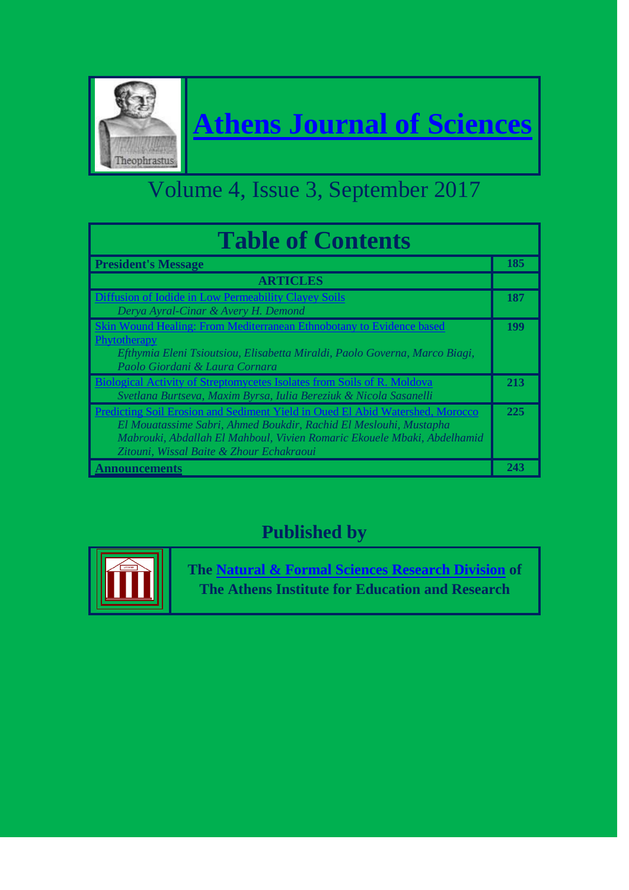

# **[Athens Journal of Sciences](http://www.athensjournals.gr/ajs)**

## Volume 4, Issue 3, September 2017

| <b>Table of Contents</b>                                                                                                                                                                                                                                                  |     |
|---------------------------------------------------------------------------------------------------------------------------------------------------------------------------------------------------------------------------------------------------------------------------|-----|
| <b>President's Message</b>                                                                                                                                                                                                                                                | 185 |
| <b>ARTICLES</b>                                                                                                                                                                                                                                                           |     |
| Diffusion of Iodide in Low Permeability Clayey Soils<br>Derya Ayral-Cinar & Avery H. Demond                                                                                                                                                                               | 187 |
| Skin Wound Healing: From Mediterranean Ethnobotany to Evidence based<br>Phytotherapy<br>Efthymia Eleni Tsioutsiou, Elisabetta Miraldi, Paolo Governa, Marco Biagi,<br>Paolo Giordani & Laura Cornara                                                                      | 199 |
| <b>Biological Activity of Streptomycetes Isolates from Soils of R. Moldova</b><br>Svetlana Burtseva, Maxim Byrsa, Iulia Bereziuk & Nicola Sasanelli                                                                                                                       | 213 |
| Predicting Soil Erosion and Sediment Yield in Oued El Abid Watershed, Morocco<br>El Mouatassime Sabri, Ahmed Boukdir, Rachid El Meslouhi, Mustapha<br>Mabrouki, Abdallah El Mahboul, Vivien Romaric Ekouele Mbaki, Abdelhamid<br>Zitouni, Wissal Baite & Zhour Echakraoui | 225 |
| <u>Announcements</u>                                                                                                                                                                                                                                                      | 243 |

### **Published by**



**The [Natural & Formal Sciences Research Division](http://www.atiner.gr/SRD.htm) of The Athens Institute for Education and Research**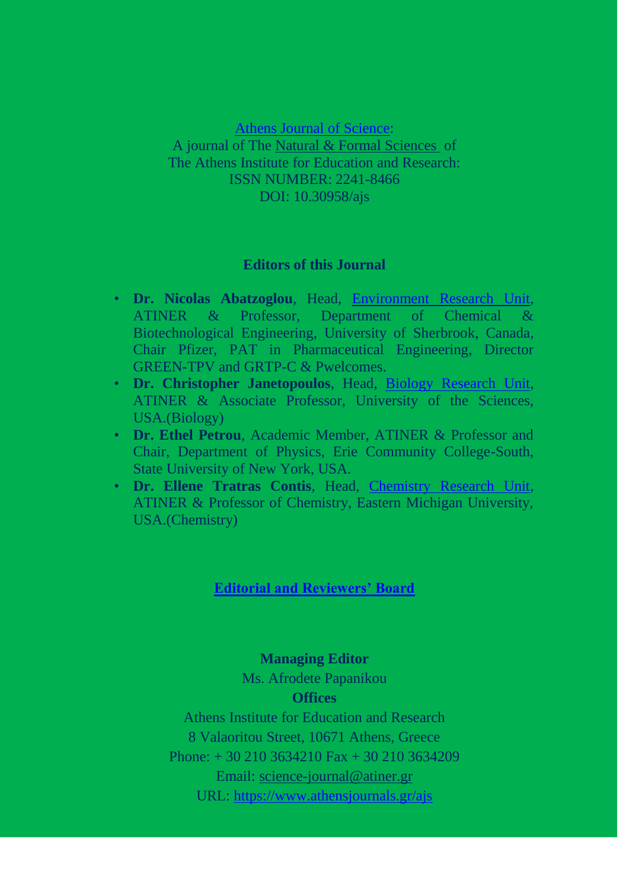[Athens Journal of Science:](http://www.athensjournals.gr/ajs) A journal of The [Natural & Formal Sciences](http://www.atiner.gr/SRD.htm) of The Athens Institute for Education and Research: ISSN NUMBER: 2241-8466 DOI: 10.30958/ajs

#### **Editors of this Journal**

- **Dr. Nicolas Abatzoglou**, Head, [Environment Research Unit,](http://www.atiner.gr/docs/ENVIRONMENT_UNIT.htm) ATINER & Professor, Department of Chemical & Biotechnological Engineering, University of Sherbrook, Canada, Chair Pfizer, PAT in Pharmaceutical Engineering, Director GREEN-TPV and GRTP-C & Pwelcomes.
- **Dr. Christopher Janetopoulos**, Head, [Biology Research Unit,](http://www.atiner.gr/BIOLOGY-UNIT.htm) ATINER & Associate Professor, University of the Sciences, USA.(Biology)
- **Dr. Ethel Petrou**, Academic Member, ATINER & Professor and Chair, Department of Physics, Erie Community College-South, State University of New York, USA.
- **Dr. Ellene Tratras Contis**, Head, [Chemistry Research Unit,](http://www.atiner.gr/CHEMISTRY-UNIT.htm) ATINER & Professor of Chemistry, Eastern Michigan University, USA.(Chemistry)

#### **[Editorial and Reviewers' Board](https://www.athensjournals.gr/ajs/ajsrb)**

#### **Managing Editor**

Ms. Afrodete Papanikou

#### **Offices**

Athens Institute for Education and Research 8 Valaoritou Street, 10671 Athens, Greece Phone: + 30 210 3634210 Fax + 30 210 3634209 Email: [science-journal@atiner.gr](mailto:science-journal@atiner.gr) URL:<https://www.athensjournals.gr/ajs>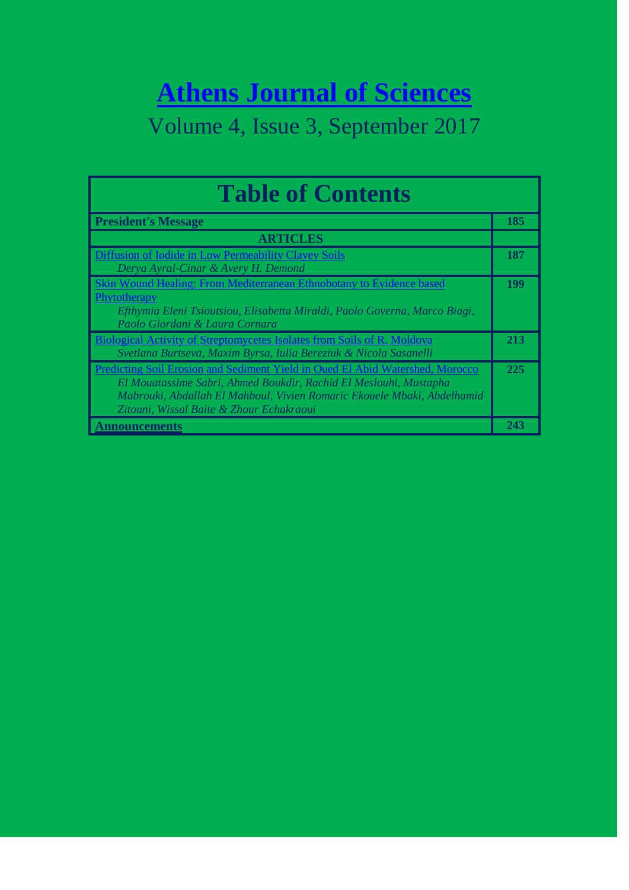# **[Athens Journal of Sciences](http://www.athensjournals.gr/ajs)**

### Volume 4, Issue 3, September 2017

| <b>Table of Contents</b>                                                                                                                                                                                                                                                  |            |
|---------------------------------------------------------------------------------------------------------------------------------------------------------------------------------------------------------------------------------------------------------------------------|------------|
| <b>President's Message</b>                                                                                                                                                                                                                                                | 185        |
| <b>ARTICLES</b>                                                                                                                                                                                                                                                           |            |
| Diffusion of Iodide in Low Permeability Clayey Soils<br>Derya Ayral-Cinar & Avery H. Demond                                                                                                                                                                               | 187        |
| Skin Wound Healing: From Mediterranean Ethnobotany to Evidence based<br>Phytotherapy<br>Efthymia Eleni Tsioutsiou, Elisabetta Miraldi, Paolo Governa, Marco Biagi,<br>Paolo Giordani & Laura Cornara                                                                      | <b>199</b> |
| Biological Activity of Streptomycetes Isolates from Soils of R. Moldova<br>Svetlana Burtseva, Maxim Byrsa, Iulia Bereziuk & Nicola Sasanelli                                                                                                                              | 213        |
| Predicting Soil Erosion and Sediment Yield in Oued El Abid Watershed, Morocco<br>El Mouatassime Sabri, Ahmed Boukdir, Rachid El Meslouhi, Mustapha<br>Mabrouki, Abdallah El Mahboul, Vivien Romaric Ekouele Mbaki, Abdelhamid<br>Zitouni, Wissal Baite & Zhour Echakraoui | 225        |
| <u>Announcements</u>                                                                                                                                                                                                                                                      | 243        |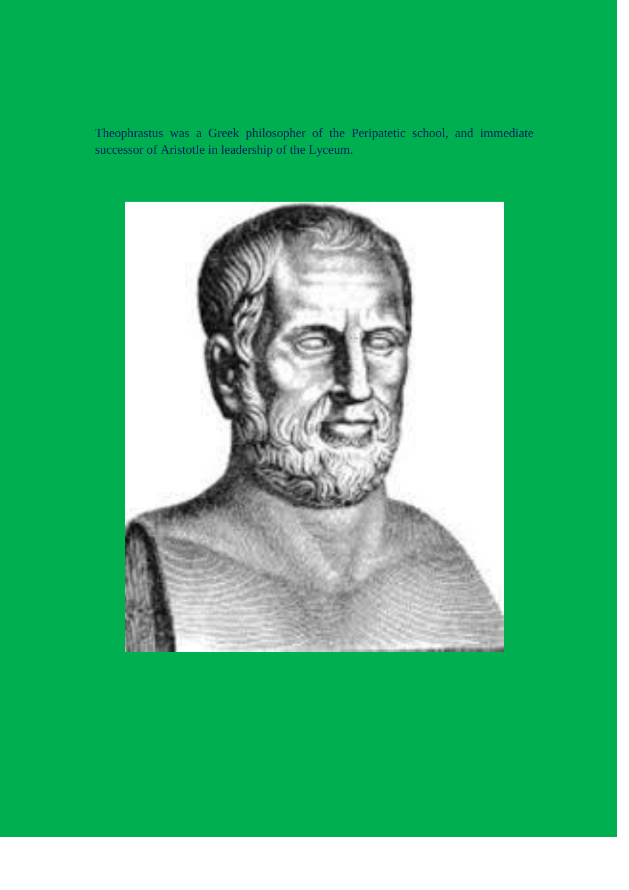Theophrastus was a Greek philosopher of the Peripatetic school, and immediate successor of Aristotle in leadership of the Lyceum.